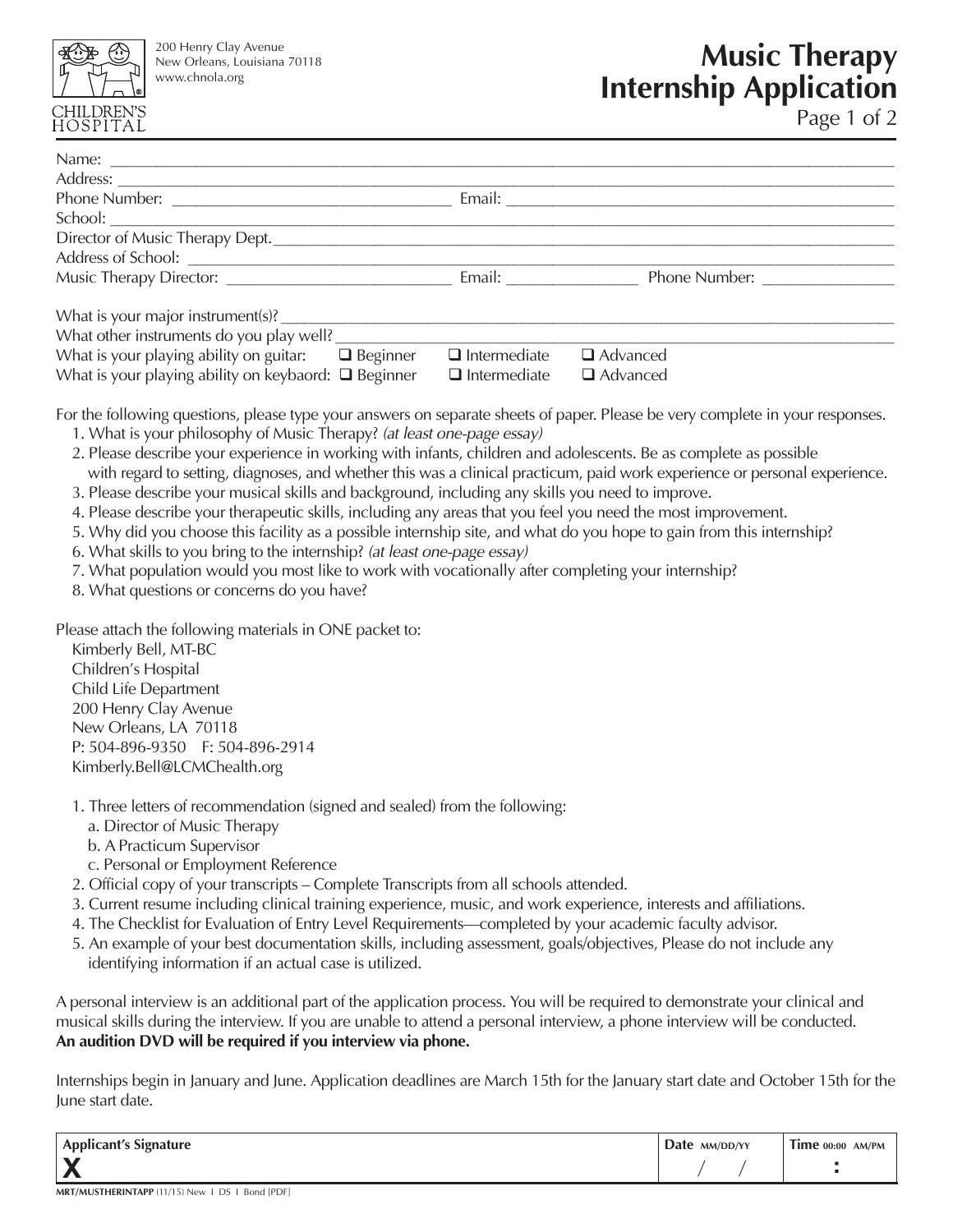

200 Henry Clay Avenue New Orleans, Louisiana 70118 www.chnola.org

# **Music Therapy Internship Application**

Page 1 of 2

| Address: Note and the contract of the contract of the contract of the contract of the contract of the contract of the contract of the contract of the contract of the contract of the contract of the contract of the contract<br>$\Box$ Intermediate<br>What is your playing ability on guitar: $\Box$ Beginner<br>$\Box$ Advanced<br>What is your playing ability on keybaord: $\Box$ Beginner $\Box$ Intermediate<br>Advanced<br>For the following questions, please type your answers on separate sheets of paper. Please be very complete in your responses.<br>1. What is your philosophy of Music Therapy? (at least one-page essay)<br>2. Please describe your experience in working with infants, children and adolescents. Be as complete as possible<br>with regard to setting, diagnoses, and whether this was a clinical practicum, paid work experience or personal experience.<br>3. Please describe your musical skills and background, including any skills you need to improve.<br>4. Please describe your therapeutic skills, including any areas that you feel you need the most improvement.<br>5. Why did you choose this facility as a possible internship site, and what do you hope to gain from this internship?<br>6. What skills to you bring to the internship? (at least one-page essay)<br>7. What population would you most like to work with vocationally after completing your internship?<br>8. What questions or concerns do you have?<br>Please attach the following materials in ONE packet to:<br>Kimberly Bell, MT-BC<br>Children's Hospital |  |  |
|--------------------------------------------------------------------------------------------------------------------------------------------------------------------------------------------------------------------------------------------------------------------------------------------------------------------------------------------------------------------------------------------------------------------------------------------------------------------------------------------------------------------------------------------------------------------------------------------------------------------------------------------------------------------------------------------------------------------------------------------------------------------------------------------------------------------------------------------------------------------------------------------------------------------------------------------------------------------------------------------------------------------------------------------------------------------------------------------------------------------------------------------------------------------------------------------------------------------------------------------------------------------------------------------------------------------------------------------------------------------------------------------------------------------------------------------------------------------------------------------------------------------------------------------------------------------------------------|--|--|
|                                                                                                                                                                                                                                                                                                                                                                                                                                                                                                                                                                                                                                                                                                                                                                                                                                                                                                                                                                                                                                                                                                                                                                                                                                                                                                                                                                                                                                                                                                                                                                                      |  |  |
|                                                                                                                                                                                                                                                                                                                                                                                                                                                                                                                                                                                                                                                                                                                                                                                                                                                                                                                                                                                                                                                                                                                                                                                                                                                                                                                                                                                                                                                                                                                                                                                      |  |  |
|                                                                                                                                                                                                                                                                                                                                                                                                                                                                                                                                                                                                                                                                                                                                                                                                                                                                                                                                                                                                                                                                                                                                                                                                                                                                                                                                                                                                                                                                                                                                                                                      |  |  |
|                                                                                                                                                                                                                                                                                                                                                                                                                                                                                                                                                                                                                                                                                                                                                                                                                                                                                                                                                                                                                                                                                                                                                                                                                                                                                                                                                                                                                                                                                                                                                                                      |  |  |
|                                                                                                                                                                                                                                                                                                                                                                                                                                                                                                                                                                                                                                                                                                                                                                                                                                                                                                                                                                                                                                                                                                                                                                                                                                                                                                                                                                                                                                                                                                                                                                                      |  |  |
|                                                                                                                                                                                                                                                                                                                                                                                                                                                                                                                                                                                                                                                                                                                                                                                                                                                                                                                                                                                                                                                                                                                                                                                                                                                                                                                                                                                                                                                                                                                                                                                      |  |  |
|                                                                                                                                                                                                                                                                                                                                                                                                                                                                                                                                                                                                                                                                                                                                                                                                                                                                                                                                                                                                                                                                                                                                                                                                                                                                                                                                                                                                                                                                                                                                                                                      |  |  |
|                                                                                                                                                                                                                                                                                                                                                                                                                                                                                                                                                                                                                                                                                                                                                                                                                                                                                                                                                                                                                                                                                                                                                                                                                                                                                                                                                                                                                                                                                                                                                                                      |  |  |
|                                                                                                                                                                                                                                                                                                                                                                                                                                                                                                                                                                                                                                                                                                                                                                                                                                                                                                                                                                                                                                                                                                                                                                                                                                                                                                                                                                                                                                                                                                                                                                                      |  |  |
|                                                                                                                                                                                                                                                                                                                                                                                                                                                                                                                                                                                                                                                                                                                                                                                                                                                                                                                                                                                                                                                                                                                                                                                                                                                                                                                                                                                                                                                                                                                                                                                      |  |  |
|                                                                                                                                                                                                                                                                                                                                                                                                                                                                                                                                                                                                                                                                                                                                                                                                                                                                                                                                                                                                                                                                                                                                                                                                                                                                                                                                                                                                                                                                                                                                                                                      |  |  |
| Child Life Department                                                                                                                                                                                                                                                                                                                                                                                                                                                                                                                                                                                                                                                                                                                                                                                                                                                                                                                                                                                                                                                                                                                                                                                                                                                                                                                                                                                                                                                                                                                                                                |  |  |
| 200 Henry Clay Avenue                                                                                                                                                                                                                                                                                                                                                                                                                                                                                                                                                                                                                                                                                                                                                                                                                                                                                                                                                                                                                                                                                                                                                                                                                                                                                                                                                                                                                                                                                                                                                                |  |  |
| New Orleans, LA 70118<br>$P: 504-896-9350$ $F: 504-896-2914$                                                                                                                                                                                                                                                                                                                                                                                                                                                                                                                                                                                                                                                                                                                                                                                                                                                                                                                                                                                                                                                                                                                                                                                                                                                                                                                                                                                                                                                                                                                         |  |  |

- Kimberly.Bell@LCMChealth.org
- 1. Three letters of recommendation (signed and sealed) from the following:
	- a. Director of Music Therapy
	- b. A Practicum Supervisor
	- c. Personal or Employment Reference
- 2. Official copy of your transcripts Complete Transcripts from all schools attended.
- 3. Current resume including clinical training experience, music, and work experience, interests and affiliations.
- 4. The Checklist for Evaluation of Entry Level Requirements—completed by your academic faculty advisor.
- 5. An example of your best documentation skills, including assessment, goals/objectives, Please do not include any identifying information if an actual case is utilized.

A personal interview is an additional part of the application process. You will be required to demonstrate your clinical and musical skills during the interview. If you are unable to attend a personal interview, a phone interview will be conducted. **An audition DVD will be required if you interview via phone.**

Internships begin in January and June. Application deadlines are March 15th for the January start date and October 15th for the June start date.

| <b>Applicant's Signature</b> | Date MM/DD/YY | $1$ Ime $00:00$ AM/PM |
|------------------------------|---------------|-----------------------|
|                              |               |                       |